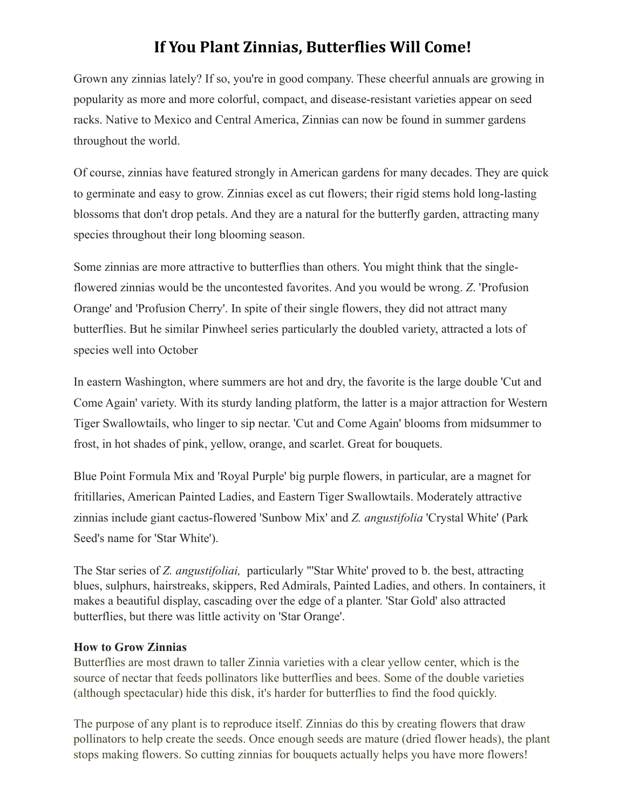## **If You Plant Zinnias, Butterflies Will Come!**

Grown any zinnias lately? If so, you're in good company. These cheerful annuals are growing in popularity as more and more colorful, compact, and disease-resistant varieties appear on seed racks. Native to Mexico and Central America, Zinnias can now be found in summer gardens throughout the world.

Of course, zinnias have featured strongly in American gardens for many decades. They are quick to germinate and easy to grow. Zinnias excel as cut flowers; their rigid stems hold long-lasting blossoms that don't drop petals. And they are a natural for the butterfly garden, attracting many species throughout their long blooming season.

Some zinnias are more attractive to butterflies than others. You might think that the singleflowered zinnias would be the uncontested favorites. And you would be wrong. *Z*. 'Profusion Orange' and 'Profusion Cherry'. In spite of their single flowers, they did not attract many butterflies. But he similar Pinwheel series particularly the doubled variety, attracted a lots of species well into October

In eastern Washington, where summers are hot and dry, the favorite is the large double 'Cut and Come Again' variety. With its sturdy landing platform, the latter is a major attraction for Western Tiger Swallowtails, who linger to sip nectar. 'Cut and Come Again' blooms from midsummer to frost, in hot shades of pink, yellow, orange, and scarlet. Great for bouquets.

Blue Point Formula Mix and 'Royal Purple' big purple flowers, in particular, are a magnet for fritillaries, American Painted Ladies, and Eastern Tiger Swallowtails. Moderately attractive zinnias include giant cactus-flowered 'Sunbow Mix' and *Z. angustifolia* 'Crystal White' (Park Seed's name for 'Star White').

The Star series of *Z. angustifoliai,* particularly "'Star White' proved to b. the best, attracting blues, sulphurs, hairstreaks, skippers, Red Admirals, Painted Ladies, and others. In containers, it makes a beautiful display, cascading over the edge of a planter. 'Star Gold' also attracted butterflies, but there was little activity on 'Star Orange'.

## **How to Grow Zinnias**

Butterflies are most drawn to taller Zinnia varieties with a clear yellow center, which is the source of nectar that feeds pollinators like butterflies and bees. Some of the double varieties (although spectacular) hide this disk, it's harder for butterflies to find the food quickly.

The purpose of any plant is to reproduce itself. Zinnias do this by creating flowers that draw pollinators to help create the seeds. Once enough seeds are mature (dried flower heads), the plant stops making flowers. So cutting zinnias for bouquets actually helps you have more flowers!